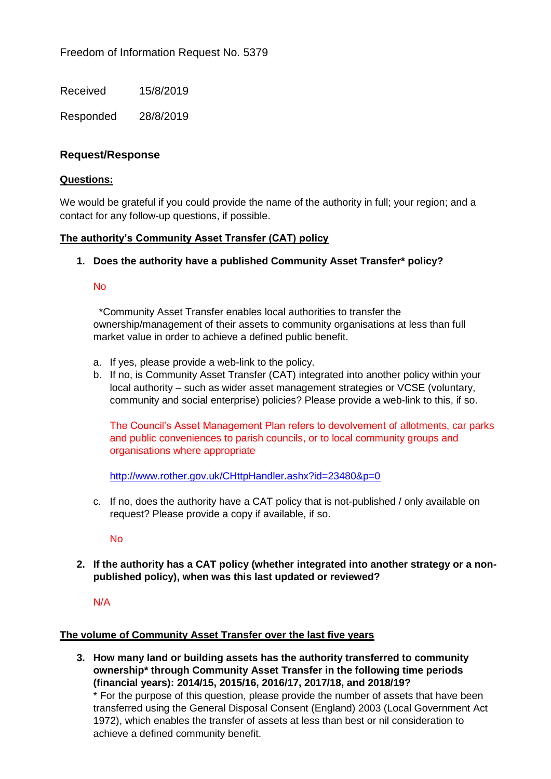Received 15/8/2019

Responded 28/8/2019

# **Request/Response**

### **Questions:**

We would be grateful if you could provide the name of the authority in full; your region; and a contact for any follow-up questions, if possible.

## **The authority's Community Asset Transfer (CAT) policy**

## **1. Does the authority have a published Community Asset Transfer\* policy?**

## No

 \*Community Asset Transfer enables local authorities to transfer the ownership/management of their assets to community organisations at less than full market value in order to achieve a defined public benefit.

- a. If yes, please provide a web-link to the policy.
- b. If no, is Community Asset Transfer (CAT) integrated into another policy within your local authority – such as wider asset management strategies or VCSE (voluntary, community and social enterprise) policies? Please provide a web-link to this, if so.

The Council's Asset Management Plan refers to devolvement of allotments, car parks and public conveniences to parish councils, or to local community groups and organisations where appropriate

<http://www.rother.gov.uk/CHttpHandler.ashx?id=23480&p=0>

c. If no, does the authority have a CAT policy that is not-published / only available on request? Please provide a copy if available, if so.

No

**2. If the authority has a CAT policy (whether integrated into another strategy or a nonpublished policy), when was this last updated or reviewed?** 

## N/A

#### **The volume of Community Asset Transfer over the last five years**

**3. How many land or building assets has the authority transferred to community ownership\* through Community Asset Transfer in the following time periods (financial years): 2014/15, 2015/16, 2016/17, 2017/18, and 2018/19?** 

\* For the purpose of this question, please provide the number of assets that have been transferred using the General Disposal Consent (England) 2003 (Local Government Act 1972), which enables the transfer of assets at less than best or nil consideration to achieve a defined community benefit.